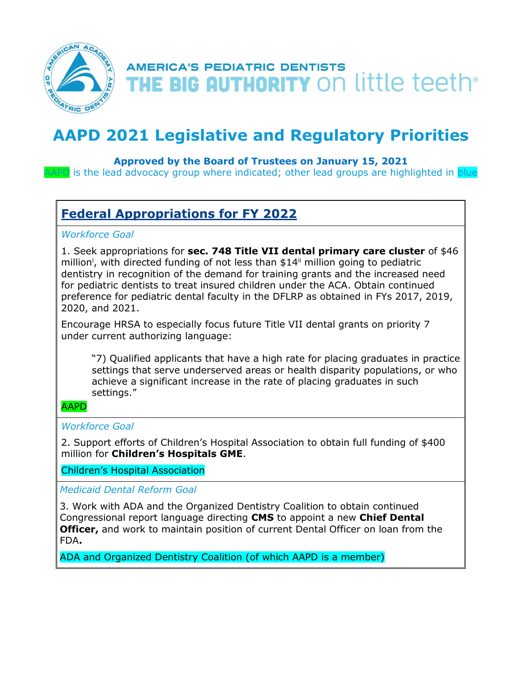

# **AMERICA'S PEDIATRIC DENTISTS** THE BIG AUTHORITY ON little teeth<sup>®</sup>

# **AAPD 2021 Legislative and Regulatory Priorities**

### **Approved by the Board of Trustees on January 15, 2021**

APD is the lead advocacy group where indicated; other lead groups are highlighted in blue

## **Federal Appropriations for FY 2022**

#### *Workforce Goal*

1. Seek appropriations for **sec. 748 Title VII dental primary care cluster** of \$46 million<sup>i</sup>, with directed funding of not less than \$14<sup>ii</sup> million going to pediatric dentistry in recognition of the demand for training grants and the increased need for pediatric dentists to treat insured children under the ACA. Obtain continued preference for pediatric dental faculty in the DFLRP as obtained in FYs 2017, 2019, 2020, and 2021.

Encourage HRSA to especially focus future Title VII dental grants on priority 7 under current authorizing language:

"7) Qualified applicants that have a high rate for placing graduates in practice settings that serve underserved areas or health disparity populations, or who achieve a significant increase in the rate of placing graduates in such settings."

#### AAPD

#### *Workforce Goal*

2. Support efforts of Children's Hospital Association to obtain full funding of \$400 million for **Children's Hospitals GME**.

Children's Hospital Association

*Medicaid Dental Reform Goal*

3. Work with ADA and the Organized Dentistry Coalition to obtain continued Congressional report language directing **CMS** to appoint a new **Chief Dental Officer,** and work to maintain position of current Dental Officer on loan from the FDA**.**

ADA and Organized Dentistry Coalition (of which AAPD is a member)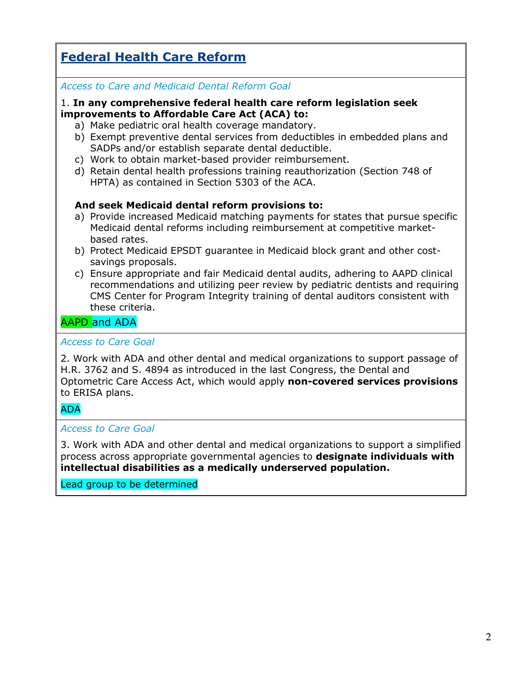# **Federal Health Care Reform**

### *Access to Care and Medicaid Dental Reform Goal*

#### 1. **In any comprehensive federal health care reform legislation seek improvements to Affordable Care Act (ACA) to:**

- a) Make pediatric oral health coverage mandatory.
- b) Exempt preventive dental services from deductibles in embedded plans and SADPs and/or establish separate dental deductible.
- c) Work to obtain market-based provider reimbursement.
- d) Retain dental health professions training reauthorization (Section 748 of HPTA) as contained in Section 5303 of the ACA.

### **And seek Medicaid dental reform provisions to:**

- a) Provide increased Medicaid matching payments for states that pursue specific Medicaid dental reforms including reimbursement at competitive marketbased rates.
- b) Protect Medicaid EPSDT guarantee in Medicaid block grant and other costsavings proposals.
- c) Ensure appropriate and fair Medicaid dental audits, adhering to AAPD clinical recommendations and utilizing peer review by pediatric dentists and requiring CMS Center for Program Integrity training of dental auditors consistent with these criteria.

## AAPD and ADA

#### *Access to Care Goal*

2. Work with ADA and other dental and medical organizations to support passage of H.R. 3762 and S. 4894 as introduced in the last Congress, the Dental and Optometric Care Access Act, which would apply **non-covered services provisions** to ERISA plans.

#### ADA

#### *Access to Care Goal*

3. Work with ADA and other dental and medical organizations to support a simplified process across appropriate governmental agencies to **designate individuals with intellectual disabilities as a medically underserved population.**

Lead group to be determined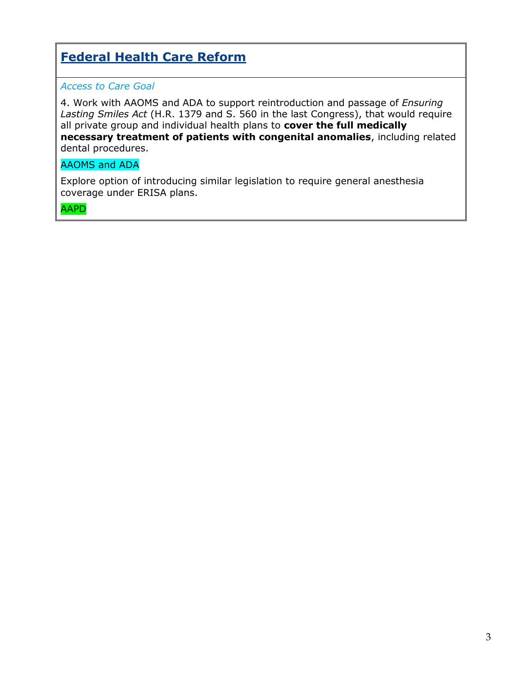# **Federal Health Care Reform**

### *Access to Care Goal*

4. Work with AAOMS and ADA to support reintroduction and passage of *Ensuring Lasting Smiles Act* (H.R. 1379 and S. 560 in the last Congress), that would require all private group and individual health plans to **cover the full medically necessary treatment of patients with congenital anomalies**, including related dental procedures.

## AAOMS and ADA

Explore option of introducing similar legislation to require general anesthesia coverage under ERISA plans.

AAPD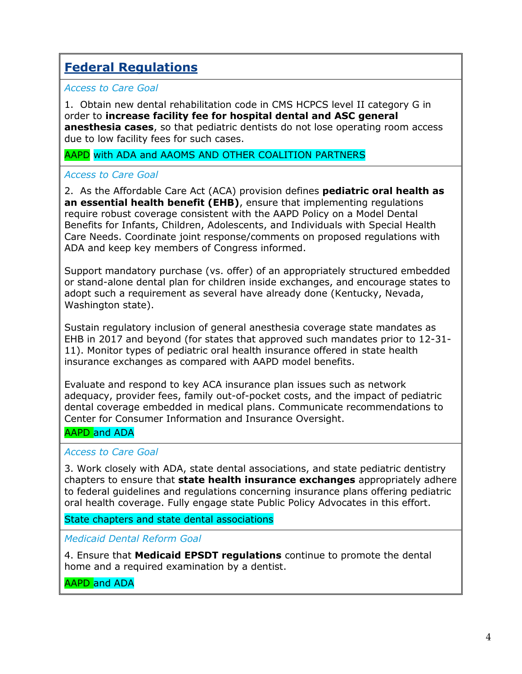# **Federal Regulations**

#### *Access to Care Goal*

1. Obtain new dental rehabilitation code in CMS HCPCS level II category G in order to **increase facility fee for hospital dental and ASC general anesthesia cases**, so that pediatric dentists do not lose operating room access due to low facility fees for such cases.

#### AAPD with ADA and AAOMS AND OTHER COALITION PARTNERS

#### *Access to Care Goal*

2. As the Affordable Care Act (ACA) provision defines **pediatric oral health as an essential health benefit (EHB)**, ensure that implementing regulations require robust coverage consistent with the AAPD Policy on a Model Dental Benefits for Infants, Children, Adolescents, and Individuals with Special Health Care Needs. Coordinate joint response/comments on proposed regulations with ADA and keep key members of Congress informed.

Support mandatory purchase (vs. offer) of an appropriately structured embedded or stand-alone dental plan for children inside exchanges, and encourage states to adopt such a requirement as several have already done (Kentucky, Nevada, Washington state).

Sustain regulatory inclusion of general anesthesia coverage state mandates as EHB in 2017 and beyond (for states that approved such mandates prior to 12-31- 11). Monitor types of pediatric oral health insurance offered in state health insurance exchanges as compared with AAPD model benefits.

Evaluate and respond to key ACA insurance plan issues such as network adequacy, provider fees, family out-of-pocket costs, and the impact of pediatric dental coverage embedded in medical plans. Communicate recommendations to Center for Consumer Information and Insurance Oversight.

### AAPD and ADA

#### *Access to Care Goal*

3. Work closely with ADA, state dental associations, and state pediatric dentistry chapters to ensure that **state health insurance exchanges** appropriately adhere to federal guidelines and regulations concerning insurance plans offering pediatric oral health coverage. Fully engage state Public Policy Advocates in this effort.

State chapters and state dental associations

*Medicaid Dental Reform Goal*

4. Ensure that **Medicaid EPSDT regulations** continue to promote the dental home and a required examination by a dentist.

AAPD and ADA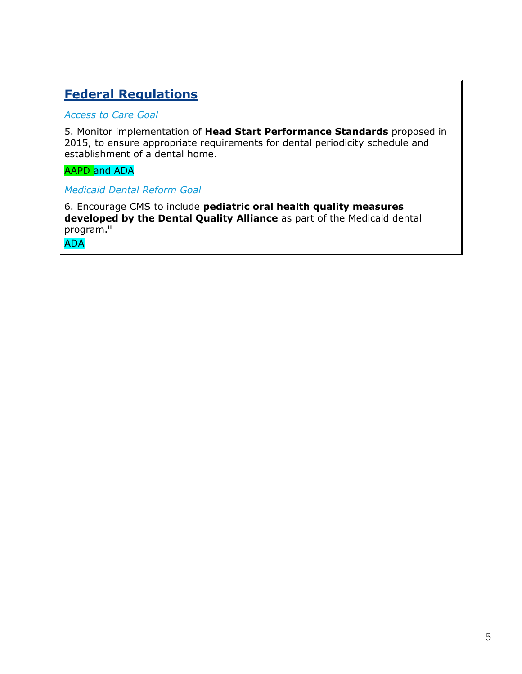# **Federal Regulations**

*Access to Care Goal*

5. Monitor implementation of **Head Start Performance Standards** proposed in 2015, to ensure appropriate requirements for dental periodicity schedule and establishment of a dental home.

### AAPD and ADA

*Medicaid Dental Reform Goal*

6. Encourage CMS to include **pediatric oral health quality measures developed by the Dental Quality Alliance** as part of the Medicaid dental program.<sup>iii</sup>

ADA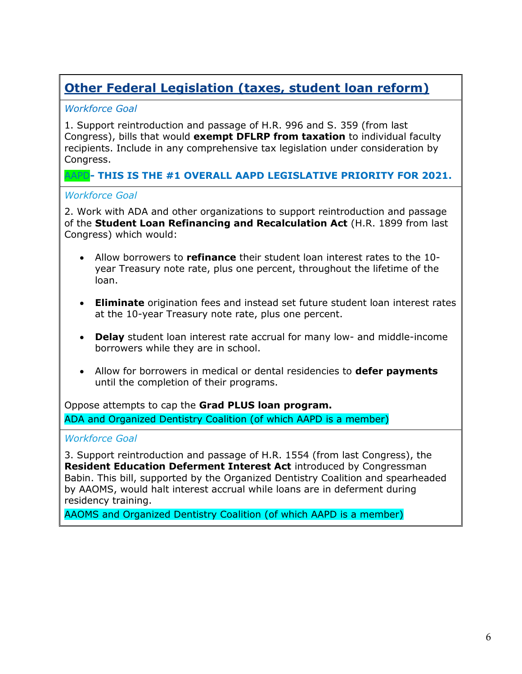# **Other Federal Legislation (taxes, student loan reform)**

### *Workforce Goal*

1. Support reintroduction and passage of H.R. 996 and S. 359 (from last Congress), bills that would **exempt DFLRP from taxation** to individual faculty recipients. Include in any comprehensive tax legislation under consideration by Congress.

## AAPD**- THIS IS THE #1 OVERALL AAPD LEGISLATIVE PRIORITY FOR 2021.**

#### *Workforce Goal*

2. Work with ADA and other organizations to support reintroduction and passage of the **Student Loan Refinancing and Recalculation Act** (H.R. 1899 from last Congress) which would:

- Allow borrowers to **refinance** their student loan interest rates to the 10 year Treasury note rate, plus one percent, throughout the lifetime of the loan.
- **Eliminate** origination fees and instead set future student loan interest rates at the 10-year Treasury note rate, plus one percent.
- **Delay** student loan interest rate accrual for many low- and middle-income borrowers while they are in school.
- Allow for borrowers in medical or dental residencies to **defer payments**  until the completion of their programs.

Oppose attempts to cap the **Grad PLUS loan program.** ADA and Organized Dentistry Coalition (of which AAPD is a member)

### *Workforce Goal*

3. Support reintroduction and passage of H.R. 1554 (from last Congress), the **Resident Education Deferment Interest Act** introduced by Congressman Babin. This bill, supported by the Organized Dentistry Coalition and spearheaded by AAOMS, would halt interest accrual while loans are in deferment during residency training.

AAOMS and Organized Dentistry Coalition (of which AAPD is a member)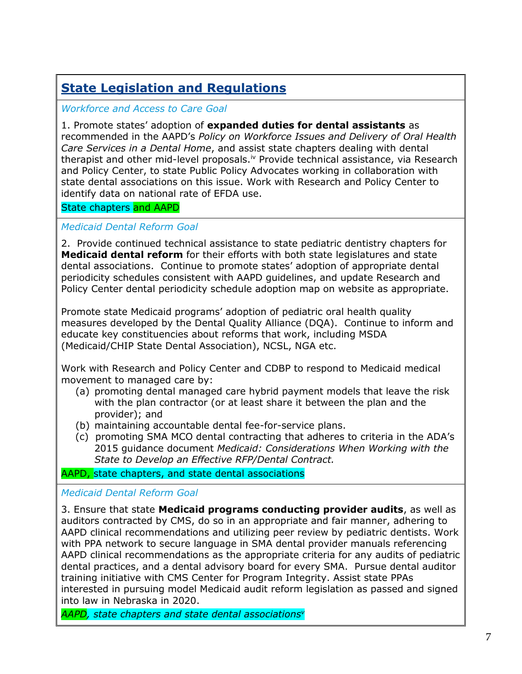# **State Legislation and Regulations**

*Workforce and Access to Care Goal*

1. Promote states' adoption of **expanded duties for dental assistants** as recommended in the AAPD's *Policy on Workforce Issues and Delivery of Oral Health Care Services in a Dental Home*, and assist state chapters dealing with dental therapist and other mid-level proposals.<sup>iv</sup> Provide technical assistance, via Research and Policy Center, to state Public Policy Advocates working in collaboration with state dental associations on this issue. Work with Research and Policy Center to identify data on national rate of EFDA use.

#### State chapters and AAPD

#### *Medicaid Dental Reform Goal*

2. Provide continued technical assistance to state pediatric dentistry chapters for **Medicaid dental reform** for their efforts with both state legislatures and state dental associations. Continue to promote states' adoption of appropriate dental periodicity schedules consistent with AAPD guidelines, and update Research and Policy Center dental periodicity schedule adoption map on website as appropriate.

Promote state Medicaid programs' adoption of pediatric oral health quality measures developed by the Dental Quality Alliance (DQA). Continue to inform and educate key constituencies about reforms that work, including MSDA (Medicaid/CHIP State Dental Association), NCSL, NGA etc.

Work with Research and Policy Center and CDBP to respond to Medicaid medical movement to managed care by:

- (a) promoting dental managed care hybrid payment models that leave the risk with the plan contractor (or at least share it between the plan and the provider); and
- (b) maintaining accountable dental fee-for-service plans.
- (c) promoting SMA MCO dental contracting that adheres to criteria in the ADA's 2015 guidance document *Medicaid: Considerations When Working with the State to Develop an Effective RFP/Dental Contract.*

AAPD, state chapters, and state dental associations

#### *Medicaid Dental Reform Goal*

3. Ensure that state **Medicaid programs conducting provider audits**, as well as auditors contracted by CMS, do so in an appropriate and fair manner, adhering to AAPD clinical recommendations and utilizing peer review by pediatric dentists. Work with PPA network to secure language in SMA dental provider manuals referencing AAPD clinical recommendations as the appropriate criteria for any audits of pediatric dental practices, and a dental advisory board for every SMA. Pursue dental auditor training initiative with CMS Center for Program Integrity. Assist state PPAs interested in pursuing model Medicaid audit reform legislation as passed and signed into law in Nebraska in 2020.

*AAPD, state chapters and state dental associationsv*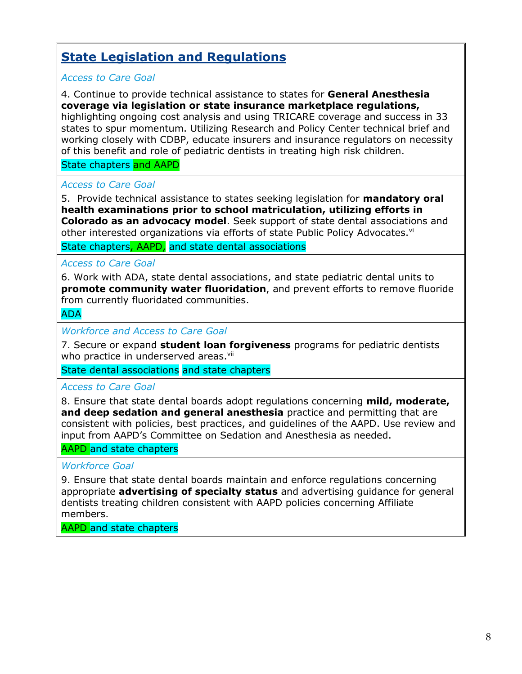# **State Legislation and Regulations**

### *Access to Care Goal*

### 4. Continue to provide technical assistance to states for **General Anesthesia coverage via legislation or state insurance marketplace regulations,**

highlighting ongoing cost analysis and using TRICARE coverage and success in 33 states to spur momentum. Utilizing Research and Policy Center technical brief and working closely with CDBP, educate insurers and insurance regulators on necessity of this benefit and role of pediatric dentists in treating high risk children.

#### State chapters and AAPD

#### *Access to Care Goal*

5. Provide technical assistance to states seeking legislation for **mandatory oral health examinations prior to school matriculation, utilizing efforts in Colorado as an advocacy model**. Seek support of state dental associations and other interested organizations via efforts of state Public Policy Advocates.<sup>vi</sup>

State chapters, AAPD, and state dental associations

#### *Access to Care Goal*

6. Work with ADA, state dental associations, and state pediatric dental units to **promote community water fluoridation**, and prevent efforts to remove fluoride from currently fluoridated communities.

ADA

*Workforce and Access to Care Goal*

7. Secure or expand **student loan forgiveness** programs for pediatric dentists who practice in underserved areas.<sup>vii</sup>

State dental associations and state chapters

#### *Access to Care Goal*

8. Ensure that state dental boards adopt regulations concerning **mild, moderate, and deep sedation and general anesthesia** practice and permitting that are consistent with policies, best practices, and guidelines of the AAPD. Use review and input from AAPD's Committee on Sedation and Anesthesia as needed.

#### AAPD and state chapters

#### *Workforce Goal*

9. Ensure that state dental boards maintain and enforce regulations concerning appropriate **advertising of specialty status** and advertising guidance for general dentists treating children consistent with AAPD policies concerning Affiliate members.

AAPD and state chapters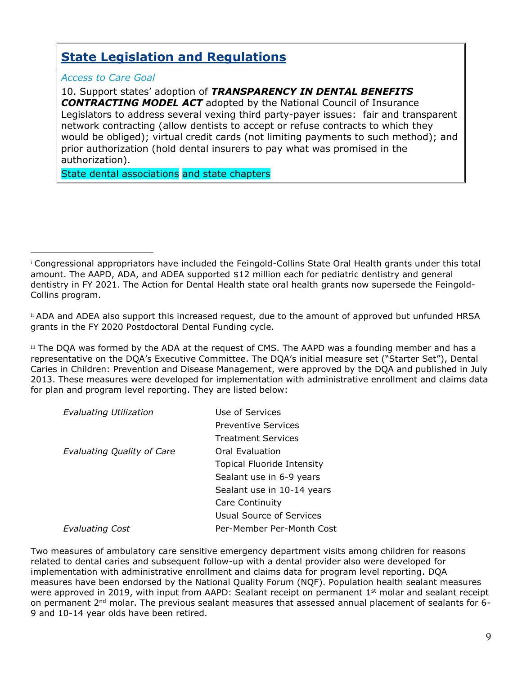# **State Legislation and Regulations**

*Access to Care Goal*

 $\overline{a}$ 

10. Support states' adoption of *TRANSPARENCY IN DENTAL BENEFITS CONTRACTING MODEL ACT* adopted by the National Council of Insurance Legislators to address several vexing third party-payer issues: fair and transparent network contracting (allow dentists to accept or refuse contracts to which they would be obliged); virtual credit cards (not limiting payments to such method); and prior authorization (hold dental insurers to pay what was promised in the authorization).

State dental associations and state chapters

iii The DQA was formed by the ADA at the request of CMS. The AAPD was a founding member and has a representative on the DQA's Executive Committee. The DQA's initial measure set ("Starter Set"), Dental Caries in Children: Prevention and Disease Management, were approved by the DQA and published in July 2013. These measures were developed for implementation with administrative enrollment and claims data for plan and program level reporting. They are listed below:

| Evaluating Utilization            | Use of Services                   |
|-----------------------------------|-----------------------------------|
|                                   | <b>Preventive Services</b>        |
|                                   | <b>Treatment Services</b>         |
| <b>Evaluating Quality of Care</b> | Oral Evaluation                   |
|                                   | <b>Topical Fluoride Intensity</b> |
|                                   | Sealant use in 6-9 years          |
|                                   | Sealant use in 10-14 years        |
|                                   | Care Continuity                   |
|                                   | Usual Source of Services          |
| Evaluating Cost                   | Per-Member Per-Month Cost         |

Two measures of ambulatory care sensitive emergency department visits among children for reasons related to dental caries and subsequent follow-up with a dental provider also were developed for implementation with administrative enrollment and claims data for program level reporting. DQA measures have been endorsed by the National Quality Forum (NQF). Population health sealant measures were approved in 2019, with input from AAPD: Sealant receipt on permanent  $1<sup>st</sup>$  molar and sealant receipt on permanent  $2<sup>nd</sup>$  molar. The previous sealant measures that assessed annual placement of sealants for 6-9 and 10-14 year olds have been retired.

<sup>i</sup> Congressional appropriators have included the Feingold-Collins State Oral Health grants under this total amount. The AAPD, ADA, and ADEA supported \$12 million each for pediatric dentistry and general dentistry in FY 2021. The Action for Dental Health state oral health grants now supersede the Feingold-Collins program.

ii ADA and ADEA also support this increased request, due to the amount of approved but unfunded HRSA grants in the FY 2020 Postdoctoral Dental Funding cycle.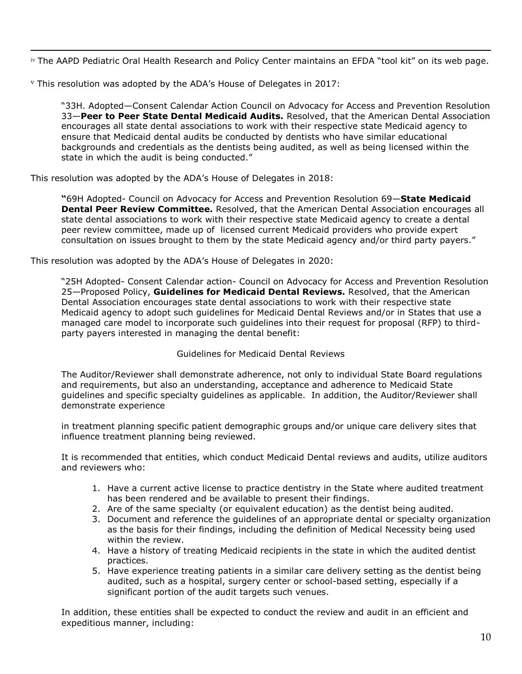$\overline{a}$ iv The AAPD Pediatric Oral Health Research and Policy Center maintains an EFDA "tool kit" on its web page.

 $v$  This resolution was adopted by the ADA's House of Delegates in 2017:

"33H. Adopted—Consent Calendar Action Council on Advocacy for Access and Prevention Resolution 33—**Peer to Peer State Dental Medicaid Audits.** Resolved, that the American Dental Association encourages all state dental associations to work with their respective state Medicaid agency to ensure that Medicaid dental audits be conducted by dentists who have similar educational backgrounds and credentials as the dentists being audited, as well as being licensed within the state in which the audit is being conducted."

This resolution was adopted by the ADA's House of Delegates in 2018:

**"**69H Adopted- Council on Advocacy for Access and Prevention Resolution 69—**State Medicaid Dental Peer Review Committee.** Resolved, that the American Dental Association encourages all state dental associations to work with their respective state Medicaid agency to create a dental peer review committee, made up of licensed current Medicaid providers who provide expert consultation on issues brought to them by the state Medicaid agency and/or third party payers."

This resolution was adopted by the ADA's House of Delegates in 2020:

"25H Adopted- Consent Calendar action- Council on Advocacy for Access and Prevention Resolution 25—Proposed Policy, **Guidelines for Medicaid Dental Reviews.** Resolved, that the American Dental Association encourages state dental associations to work with their respective state Medicaid agency to adopt such guidelines for Medicaid Dental Reviews and/or in States that use a managed care model to incorporate such guidelines into their request for proposal (RFP) to thirdparty payers interested in managing the dental benefit:

#### Guidelines for Medicaid Dental Reviews

The Auditor/Reviewer shall demonstrate adherence, not only to individual State Board regulations and requirements, but also an understanding, acceptance and adherence to Medicaid State guidelines and specific specialty guidelines as applicable. In addition, the Auditor/Reviewer shall demonstrate experience

in treatment planning specific patient demographic groups and/or unique care delivery sites that influence treatment planning being reviewed.

It is recommended that entities, which conduct Medicaid Dental reviews and audits, utilize auditors and reviewers who:

- 1. Have a current active license to practice dentistry in the State where audited treatment has been rendered and be available to present their findings.
- 2. Are of the same specialty (or equivalent education) as the dentist being audited.
- 3. Document and reference the guidelines of an appropriate dental or specialty organization as the basis for their findings, including the definition of Medical Necessity being used within the review.
- 4. Have a history of treating Medicaid recipients in the state in which the audited dentist practices.
- 5. Have experience treating patients in a similar care delivery setting as the dentist being audited, such as a hospital, surgery center or school-based setting, especially if a significant portion of the audit targets such venues.

In addition, these entities shall be expected to conduct the review and audit in an efficient and expeditious manner, including: